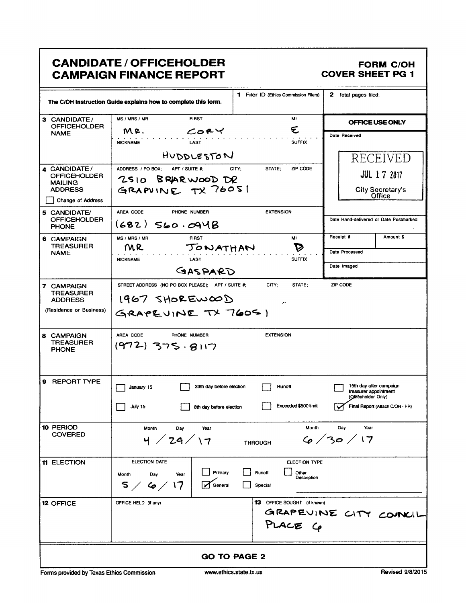## **CANDIDATE / OFFICEHOLDER CAMPAIGN FINANCE REPORT**

### **FORM C/OH COVER SHEET PG 1**

|                                                                                                     | The C/OH Instruction Guide explains how to complete this form.                              | 1 Filer ID (Ethics Commission Filers)                      | 2 Total pages filed:                                                                                       |
|-----------------------------------------------------------------------------------------------------|---------------------------------------------------------------------------------------------|------------------------------------------------------------|------------------------------------------------------------------------------------------------------------|
| 3 CANDIDATE/<br><b>OFFICEHOLDER</b>                                                                 | MS / MRS / MR<br><b>FIRST</b>                                                               | MI                                                         | OFFICE USE ONLY                                                                                            |
| <b>NAME</b>                                                                                         | CORY<br>MR.<br><b>NICKNAME</b><br>LAST                                                      | E<br><b>SUFFIX</b>                                         | Date Received                                                                                              |
|                                                                                                     | HUDDLESTON                                                                                  |                                                            | RECEIVED                                                                                                   |
| 4 CANDIDATE/<br><b>OFFICEHOLDER</b><br><b>MAILING</b><br><b>ADDRESS</b><br><b>Change of Address</b> | ADDRESS / PO BOX;<br>APT / SUITE #:<br>2510 BRARWOOD DR<br>GRAPVINE TX 76051                | CITY;<br>STATE:<br>ZIP CODE                                | <b>JUL 17 2017</b><br><b>City Secretary's</b><br>Office                                                    |
| 5 CANDIDATE/<br><b>OFFICEHOLDER</b><br><b>PHONE</b>                                                 | AREA CODE<br>PHONE NUMBER<br>$(682)$ $560.0948$                                             | <b>EXTENSION</b>                                           | Date Hand-delivered or Date Postmarked                                                                     |
| <b>CAMPAIGN</b><br>6<br><b>TREASURER</b>                                                            | MS / MRS / MR<br><b>FIRST</b><br>MR<br>JONATHAN                                             | MI<br>D                                                    | Receipt #<br>Amount \$                                                                                     |
| <b>NAME</b>                                                                                         | <b>NICKNAME</b><br><b>LAST</b>                                                              | <b>SUFFIX</b>                                              | Date Processed                                                                                             |
|                                                                                                     | GASPARD                                                                                     |                                                            | Date Imaged                                                                                                |
| 7 CAMPAIGN<br><b>TREASURER</b><br><b>ADDRESS</b><br>(Residence or Business)                         | STREET ADDRESS (NO PO BOX PLEASE); APT / SUITE #;<br>$1967$ SHOREWOOD<br>GRAPEVINE TX 760SI | CITY;<br>STATE;                                            | ZIP CODE                                                                                                   |
| 8 CAMPAIGN<br><b>TREASURER</b><br><b>PHONE</b>                                                      | AREA CODE<br>PHONE NUMBER<br>$(972)$ 375.8117                                               | <b>EXTENSION</b>                                           |                                                                                                            |
| 9 REPORT TYPE                                                                                       | 30th day before election<br>January 15<br>July 15<br>8th day before election                | Runoff<br>Exceeded \$500 limit                             | 15th day after campaign<br>treasurer appointment<br>(Officeholder Only)<br>Final Report (Attach C/OH - FR) |
| 10 PERIOD<br><b>COVERED</b>                                                                         | <b>Month</b><br>Dav .<br>Year<br>4 / 24 / 17                                                | Month<br><b>THROUGH</b>                                    | Year<br>Day<br>6/30/17                                                                                     |
| 11 ELECTION                                                                                         | ELECTION DATE<br>Primary<br>Day<br>Month<br>Year<br>5/6/17<br>General                       | ELECTION TYPE<br>Runoff<br>Other<br>Description<br>Special |                                                                                                            |
| 12 OFFICE                                                                                           | OFFICE HELD (if any)                                                                        | 13 OFFICE SOUGHT (if known)<br>PLACE CP                    | GRAPEVINE CITY COUNCIL                                                                                     |
|                                                                                                     |                                                                                             | <b>GO TO PAGE 2</b>                                        |                                                                                                            |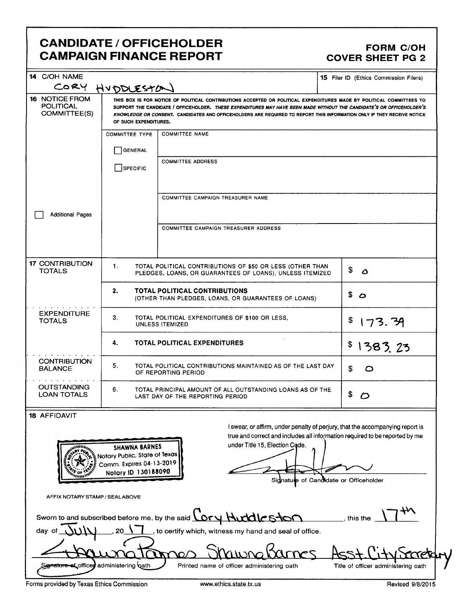# CANDIDATE / OFFICEHOLDER FORM C/OH CAMPAIGN FINANCE REPORT COVER SHEET PG 2

| 14 C/OH NAME<br>CORY                                                 |                                                                                                          |                                                                                                                                                                                                                                                                                                                                                                         | 15 Filer ID (Ethics Commission Filers)                                                                                                                                                                 |
|----------------------------------------------------------------------|----------------------------------------------------------------------------------------------------------|-------------------------------------------------------------------------------------------------------------------------------------------------------------------------------------------------------------------------------------------------------------------------------------------------------------------------------------------------------------------------|--------------------------------------------------------------------------------------------------------------------------------------------------------------------------------------------------------|
| <b>16 NOTICE FROM</b><br><b>POLITICAL</b><br>COMMITTEE(S)            | HUDDLESTAN<br>OF SUCH EXPENDITURES.                                                                      | THIS BOX IS FOR NOTICE OF POLITICAL CONTRIBUTIONS ACCEPTED OR POLITICAL EXPENDITURES MADE BY POLITICAL COMMITTEES TO<br>SUPPORT THE CANDIDATE / OFFICEHOLDER. THESE EXPENDITURES MAY HAVE BEEN MADE WITHOUT THE CANDIDATE'S OR OFFICEHOLDER'S<br>KNOWLEDGE OR CONSENT. CANDIDATES AND OFFICEHOLDERS ARE REQUIRED TO REPORT THIS INFORMATION ONLY IF THEY RECEIVE NOTICE |                                                                                                                                                                                                        |
|                                                                      | <b>COMMITTEE TYPE</b><br>GENERAL<br>SPECIFIC                                                             | <b>COMMITTEE NAME</b><br><b>COMMITTEE ADDRESS</b>                                                                                                                                                                                                                                                                                                                       |                                                                                                                                                                                                        |
| <b>Additional Pages</b>                                              |                                                                                                          | COMMITTEE CAMPAIGN TREASURER NAME<br><b>COMMITTEE CAMPAIGN TREASURER ADDRESS</b>                                                                                                                                                                                                                                                                                        |                                                                                                                                                                                                        |
|                                                                      |                                                                                                          |                                                                                                                                                                                                                                                                                                                                                                         |                                                                                                                                                                                                        |
| <b>17 CONTRIBUTION</b><br><b>TOTALS</b>                              | 1.                                                                                                       | TOTAL POLITICAL CONTRIBUTIONS OF \$50 OR LESS (OTHER THAN<br>PLEDGES, LOANS, OR GUARANTEES OF LOANS), UNLESS ITEMIZED                                                                                                                                                                                                                                                   | \$<br>$\boldsymbol{\mathsf{a}}$                                                                                                                                                                        |
|                                                                      | 2.                                                                                                       | TOTAL POLITICAL CONTRIBUTIONS<br>(OTHER THAN PLEDGES, LOANS, OR GUARANTEES OF LOANS)                                                                                                                                                                                                                                                                                    | \$<br>$\mathcal{L}$                                                                                                                                                                                    |
| <b>EXPENDITURE</b><br><b>TOTALS</b>                                  | З.                                                                                                       | TOTAL POLITICAL EXPENDITURES OF \$100 OR LESS,<br><b>UNLESS ITEMIZED</b>                                                                                                                                                                                                                                                                                                | \$<br>173.39                                                                                                                                                                                           |
|                                                                      | 4.                                                                                                       | <b>TOTAL POLITICAL EXPENDITURES</b>                                                                                                                                                                                                                                                                                                                                     | \$<br>1383.23                                                                                                                                                                                          |
| <b>CONTRIBUTION</b><br><b>BALANCE</b>                                | 5.                                                                                                       | TOTAL POLITICAL CONTRIBUTIONS MAINTAINED AS OF THE LAST DAY<br>OF REPORTING PERIOD                                                                                                                                                                                                                                                                                      | \$<br>$\circ$                                                                                                                                                                                          |
| <b>OUTSTANDING</b><br><b>LOAN TOTALS</b>                             | 6.                                                                                                       | TOTAL PRINCIPAL AMOUNT OF ALL OUTSTANDING LOANS AS OF THE<br>LAST DAY OF THE REPORTING PERIOD                                                                                                                                                                                                                                                                           | S                                                                                                                                                                                                      |
| 18 AFFIDAVIT<br>www.<br>**********<br>AFFIX NOTARY STAMP / SEALABOVE | <b>SHAWNA BARNES</b><br>Notary Public, State of Texas<br>Comm. Expires 04-13-2019<br>Notary ID 130188090 | under Title 15, Election Code.                                                                                                                                                                                                                                                                                                                                          | I swear, or affirm, under penalty of perjury, that the accompanying report is<br>true and correct and includes all information required to be reported by me<br>Sidnature of Candidate or Officeholder |

|                                         | Sworn to and subscribed before me, by the said LOry Hurbleston | this the                            |
|-----------------------------------------|----------------------------------------------------------------|-------------------------------------|
| 20                                      | , to certify which, witness my hand and seal of office.        |                                     |
|                                         | ungtames Shuwngbarnes                                          | Acet Mity Serretar                  |
| Signature of officer administering bath | Printed name of officer administering oath                     | Title of officer administering oath |

Forms provided by Texas Ethics Commission www.ethics.state.tx.us Revised 9/8/2015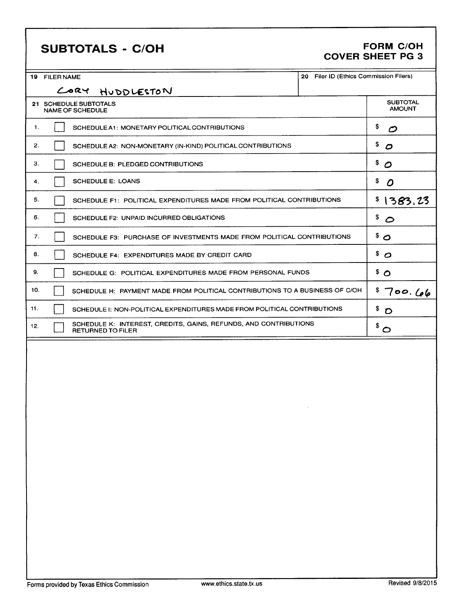# **SUBTOTALS - C/OH**

## **FORM C/OH COVER SHEET PG 3**

| 19 FILER NAME                                                                                       | 20 Filer ID (Ethics Commission Filers) |
|-----------------------------------------------------------------------------------------------------|----------------------------------------|
| CORY HUDDLESTON                                                                                     |                                        |
| 21 SCHEDULE SUBTOTALS<br><b>NAME OF SCHEDULE</b>                                                    | <b>SUBTOTAL</b><br><b>AMOUNT</b>       |
| 1.<br>SCHEDULE A1: MONETARY POLITICAL CONTRIBUTIONS                                                 | \$<br>Ο                                |
| 2.<br>SCHEDULE A2: NON-MONETARY (IN-KIND) POLITICAL CONTRIBUTIONS                                   | \$<br>$\boldsymbol{c}$                 |
| З.<br>SCHEDULE B: PLEDGED CONTRIBUTIONS                                                             | \$<br>$\mathcal{O}$                    |
| <b>SCHEDULE E: LOANS</b><br>4.                                                                      | \$<br>Ο                                |
| 5.<br>SCHEDULE F1: POLITICAL EXPENDITURES MADE FROM POLITICAL CONTRIBUTIONS                         | \$1383.23                              |
| 6.<br>SCHEDULE F2: UNPAID INCURRED OBLIGATIONS                                                      | \$<br>$\circ$                          |
| 7.<br>SCHEDULE F3: PURCHASE OF INVESTMENTS MADE FROM POLITICAL CONTRIBUTIONS                        | $\delta$ 0                             |
| 8.<br>SCHEDULE F4: EXPENDITURES MADE BY CREDIT CARD                                                 | $\bullet$ 0                            |
| 9.<br>SCHEDULE G: POLITICAL EXPENDITURES MADE FROM PERSONAL FUNDS                                   | \$O                                    |
| 10.<br>SCHEDULE H: PAYMENT MADE FROM POLITICAL CONTRIBUTIONS TO A BUSINESS OF C/OH                  | \$700.66                               |
| 11.<br>SCHEDULE I: NON-POLITICAL EXPENDITURES MADE FROM POLITICAL CONTRIBUTIONS                     | \$<br>$\mathcal{D}$                    |
| SCHEDULE K: INTEREST, CREDITS, GAINS, REFUNDS, AND CONTRIBUTIONS<br>12.<br><b>RETURNED TO FILER</b> | $\degree$ 0                            |
|                                                                                                     |                                        |
|                                                                                                     |                                        |
|                                                                                                     |                                        |
|                                                                                                     |                                        |
|                                                                                                     |                                        |
|                                                                                                     |                                        |
|                                                                                                     |                                        |
|                                                                                                     |                                        |
|                                                                                                     |                                        |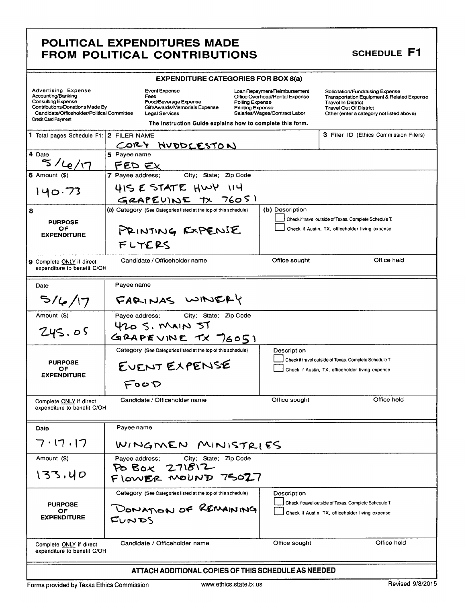| <b>POLITICAL EXPENDITURES MADE</b>  |  |
|-------------------------------------|--|
| <b>FROM POLITICAL CONTRIBUTIONS</b> |  |

# SCHEDULE F1

|                                                                                                                                                                                       |                        |                                                                  | <b>EXPENDITURE CATEGORIES FOR BOX 8(a)</b>                                                 |                                            |                                                                                                 |                                                                                                                                                                                                      |             |
|---------------------------------------------------------------------------------------------------------------------------------------------------------------------------------------|------------------------|------------------------------------------------------------------|--------------------------------------------------------------------------------------------|--------------------------------------------|-------------------------------------------------------------------------------------------------|------------------------------------------------------------------------------------------------------------------------------------------------------------------------------------------------------|-------------|
| <b>Advertising Expense</b><br>Accounting/Banking<br>Consulting Expense<br>Contributions/Donations Made By<br>Candidate/Officeholder/Political Committee<br><b>Credit Card Payment</b> |                        | Event Expense<br>Fees<br>Food/Beverage Expense<br>Legal Services | Gift/Awards/Memorials Expense<br>The Instruction Guide explains how to complete this form. | Polling Expense<br><b>Printing Expense</b> | Loan Repayment/Reimbursement<br>Office Overhead/Rental Expense<br>Salaries/Wages/Contract Labor | Solicitation/Fundraising Expense<br><b>Transportation Equipment &amp; Related Expense</b><br><b>Travel In District</b><br><b>Travel Out Of District</b><br>Other (enter a category not listed above) |             |
| 1 Total pages Schedule F1: 2 FILER NAME                                                                                                                                               |                        |                                                                  | CORY HUDDLESTON                                                                            |                                            |                                                                                                 | <b>3 Filer ID (Ethics Commission Filers)</b>                                                                                                                                                         |             |
| 4 Date<br>5/(6/17)                                                                                                                                                                    | 5 Payee name<br>FED EX |                                                                  |                                                                                            |                                            |                                                                                                 |                                                                                                                                                                                                      |             |
| $6$ Amount $($)$<br>140.73                                                                                                                                                            | 7 Payee address;       |                                                                  | City; State; Zip Code<br>415 E STATE HWY 114<br>GRAPEVINE TX 76051                         |                                            |                                                                                                 |                                                                                                                                                                                                      |             |
| 8<br><b>PURPOSE</b><br>OF<br><b>EXPENDITURE</b>                                                                                                                                       |                        | FLYERS                                                           | (a) Category (See Categories listed at the top of this schedule)<br>PRINTING EXPENSE       |                                            | (b) Description                                                                                 | Check if travel outside of Texas. Complete Schedule T.<br>Check if Austin, TX, officeholder living expense                                                                                           |             |
| <b>9</b> Complete ONLY if direct<br>expenditure to benefit C/OH                                                                                                                       |                        | Candidate / Officeholder name                                    |                                                                                            |                                            | Office sought                                                                                   |                                                                                                                                                                                                      | Office held |
| Date<br>5/6/17                                                                                                                                                                        | Payee name             |                                                                  | FARINAS WINERY                                                                             |                                            |                                                                                                 |                                                                                                                                                                                                      |             |
| Amount (\$)<br>245.05                                                                                                                                                                 |                        | 420 S. MAIN ST                                                   | Payee address; City; State; Zip Code<br>GRAPEVINE TX 76051                                 |                                            |                                                                                                 |                                                                                                                                                                                                      |             |
| <b>PURPOSE</b><br>OF<br><b>EXPENDITURE</b>                                                                                                                                            |                        | FOOD                                                             | Category (See Categories listed at the top of this schedule)<br>EVENT EXPENSE              |                                            | Description                                                                                     | Check if travel outside of Texas. Complete Schedule T<br>Check if Austin, TX, officeholder living expense                                                                                            |             |
| Complete ONLY if direct<br>expenditure to benefit C/OH                                                                                                                                |                        | Candidate / Officeholder name                                    |                                                                                            |                                            | Office sought                                                                                   |                                                                                                                                                                                                      | Office held |
| Date<br>フ・17,17                                                                                                                                                                       | Payee name             |                                                                  | WINGMEN MINISTRIES                                                                         |                                            |                                                                                                 |                                                                                                                                                                                                      |             |
| Amount (\$)<br>133,40                                                                                                                                                                 | Payee address;         |                                                                  | City; State; Zip Code<br>PO BOX 271812<br>FLOWER MOUND 75027                               |                                            |                                                                                                 |                                                                                                                                                                                                      |             |
| <b>PURPOSE</b><br>OF<br><b>EXPENDITURE</b>                                                                                                                                            | CUNDS                  |                                                                  | Category (See Categories listed at the top of this schedule)<br>DONATION OF REMAINING      |                                            | Description                                                                                     | Check if travel outside of Texas. Complete Schedule T.<br>Check if Austin, TX, officeholder living expense                                                                                           |             |
| Complete ONLY if direct<br>expenditure to benefit C/OH                                                                                                                                |                        | Candidate / Officeholder name                                    |                                                                                            |                                            | Office sought                                                                                   |                                                                                                                                                                                                      | Office held |
|                                                                                                                                                                                       |                        |                                                                  |                                                                                            |                                            | ATTACH ADDITIONAL COPIES OF THIS SCHEDULE AS NEEDED                                             |                                                                                                                                                                                                      |             |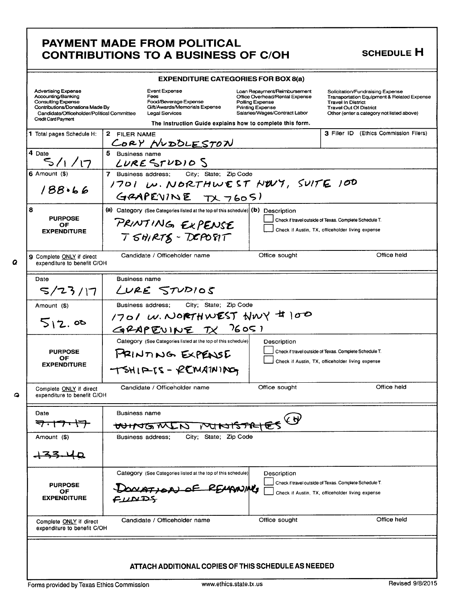|                                                                                                                                                                                       | <b>EXPENDITURE CATEGORIES FOR BOX 8(a)</b>                                                                                                                            |                                                                                                                                               |                                                                                                                                                                                           |
|---------------------------------------------------------------------------------------------------------------------------------------------------------------------------------------|-----------------------------------------------------------------------------------------------------------------------------------------------------------------------|-----------------------------------------------------------------------------------------------------------------------------------------------|-------------------------------------------------------------------------------------------------------------------------------------------------------------------------------------------|
| <b>Advertising Expense</b><br>Accounting/Banking<br><b>Consulting Expense</b><br>Contributions/Donations Made By<br>Candidate/Officeholder/Political Committee<br>Credit Card Payment | Event Expense<br>Fees<br>Food/Beverage Expense<br>Gift/Awards/Memorials Expense<br><b>Legal Services</b><br>The Instruction Guide explains how to complete this form. | Loan Repayment/Reimbursement<br>Office Overhead/Rental Expense<br>Polling Expense<br><b>Printing Expense</b><br>Salaries/Wages/Contract Labor | Solicitation/Fundraising Expense<br>Transportation Equipment & Related Expense<br><b>Travel In District</b><br><b>Travel Out Of District</b><br>Other (enter a category not listed above) |
| 1 Total pages Schedule H:                                                                                                                                                             | 2 FILER NAME<br>CORY MUDDLESTON                                                                                                                                       |                                                                                                                                               | <b>3 Filer ID</b> (Ethics Commission Filers)                                                                                                                                              |
| 4 Date<br>5/1/17                                                                                                                                                                      | 5 Business name<br>LURE STUDIOS                                                                                                                                       |                                                                                                                                               |                                                                                                                                                                                           |
| $6$ Amount $($ )<br>188.66                                                                                                                                                            | City; State; Zip Code<br><b>7</b> Business address;<br>1701 W. NORTHWEST NWY, SUITE 100<br>GRAPEVINE TX 76051                                                         |                                                                                                                                               |                                                                                                                                                                                           |
| 8<br><b>PURPOSE</b><br>ОF<br><b>EXPENDITURE</b>                                                                                                                                       | (a) Category (See Categories listed at the top of this schedule) (b) Description<br>PRINTING EXPENSE<br>T SHIRTS - DEPOSIT                                            |                                                                                                                                               | Check if travel outside of Texas. Complete Schedule T.<br>Check if Austin, TX, officeholder living expense                                                                                |
| 9 Complete ONLY if direct<br>expenditure to benefit C/OH                                                                                                                              | Candidate / Officeholder name                                                                                                                                         | Office sought                                                                                                                                 | Office held                                                                                                                                                                               |
| Date<br>5/23/17                                                                                                                                                                       | <b>Business name</b><br>LURE STUDIOS                                                                                                                                  |                                                                                                                                               |                                                                                                                                                                                           |
| Amount (\$)<br>512.00                                                                                                                                                                 | City; State; Zip Code<br>Business address;<br>1701 W. NORTHWEST NWY #100<br>GRAPEVINE TX 76051                                                                        |                                                                                                                                               |                                                                                                                                                                                           |
| <b>PURPOSE</b><br>OF.<br><b>EXPENDITURE</b>                                                                                                                                           | Category (See Categories listed at the top of this schedule)<br>PRINTING EXPENSE<br>TSHIP-IS - REMAINING                                                              | Description                                                                                                                                   | Check if travel outside of Texas. Complete Schedule T.<br>Check if Austin, TX, officeholder living expense                                                                                |
| Complete ONLY if direct<br>expenditure to benefit C/OH                                                                                                                                | Candidate / Officeholder name                                                                                                                                         | Office sought                                                                                                                                 | Office held                                                                                                                                                                               |
| Date<br>ᆕ                                                                                                                                                                             | <b>Business name</b><br><del>VUING</del> IN                                                                                                                           | EFER                                                                                                                                          |                                                                                                                                                                                           |
|                                                                                                                                                                                       | City; State; Zip Code<br>Business address;                                                                                                                            |                                                                                                                                               |                                                                                                                                                                                           |
| Amount (\$)                                                                                                                                                                           |                                                                                                                                                                       | Description                                                                                                                                   |                                                                                                                                                                                           |
| <b>PURPOSE</b><br>OF<br><b>EXPENDITURE</b>                                                                                                                                            | Category (See Categories listed at the top of this schedule)<br>ATION OF RE                                                                                           | Check if travel outside of Texas. Complete Schedule T.                                                                                        | Check if Austin, TX, officeholder living expense                                                                                                                                          |

Г

 $\bullet$ 

٦